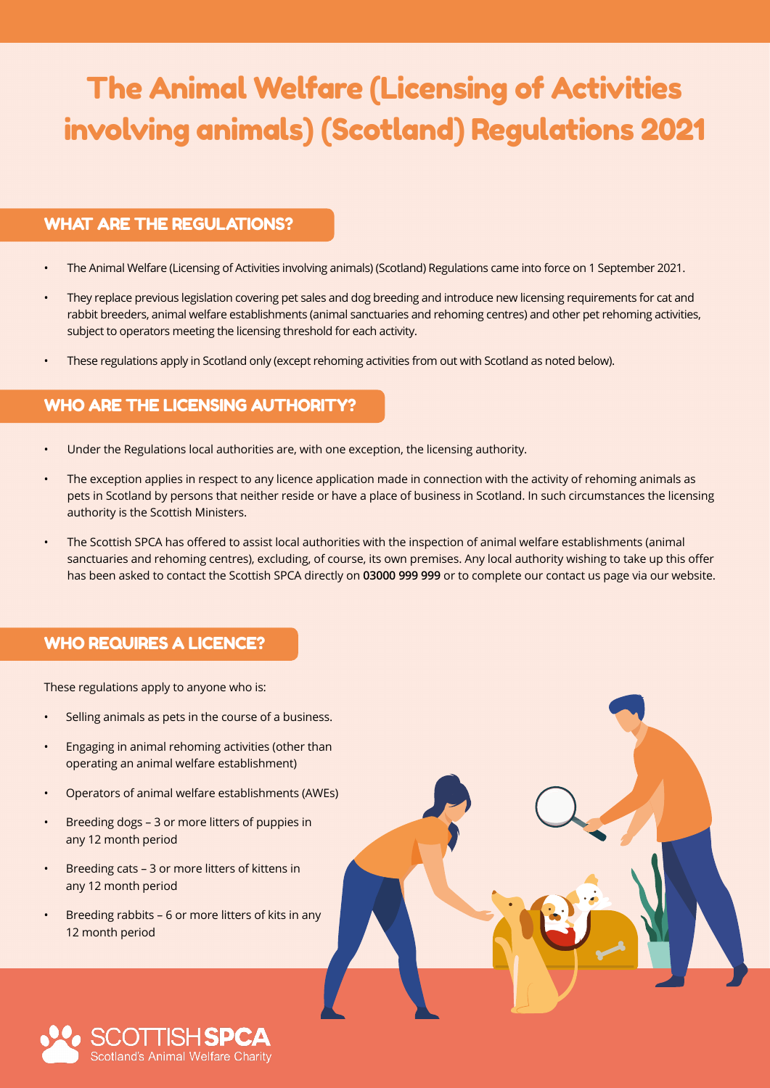# The Animal Welfare (Licensing of Activities involving animals) (Scotland) Regulations 2021

#### WHAT ARE THE REGULATIONS?

- The Animal Welfare (Licensing of Activities involving animals) (Scotland) Regulations came into force on 1 September 2021.
- They replace previous legislation covering pet sales and dog breeding and introduce new licensing requirements for cat and rabbit breeders, animal welfare establishments (animal sanctuaries and rehoming centres) and other pet rehoming activities, subject to operators meeting the licensing threshold for each activity.
- These regulations apply in Scotland only (except rehoming activities from out with Scotland as noted below).

# WHO ARE THE LICENSING AUTHORITY?

- Under the Regulations local authorities are, with one exception, the licensing authority.
- The exception applies in respect to any licence application made in connection with the activity of rehoming animals as pets in Scotland by persons that neither reside or have a place of business in Scotland. In such circumstances the licensing authority is the Scottish Ministers.
- The Scottish SPCA has offered to assist local authorities with the inspection of animal welfare establishments (animal sanctuaries and rehoming centres), excluding, of course, its own premises. Any local authority wishing to take up this offer has been asked to contact the Scottish SPCA directly on **03000 999 999** or to complete our contact us page via our website.

#### WHO REQUIRES A LICENCE?

These regulations apply to anyone who is:

- Selling animals as pets in the course of a business.
- Engaging in animal rehoming activities (other than operating an animal welfare establishment)
- Operators of animal welfare establishments (AWEs)
- Breeding dogs 3 or more litters of puppies in any 12 month period
- Breeding cats 3 or more litters of kittens in any 12 month period
- Breeding rabbits 6 or more litters of kits in any 12 month period



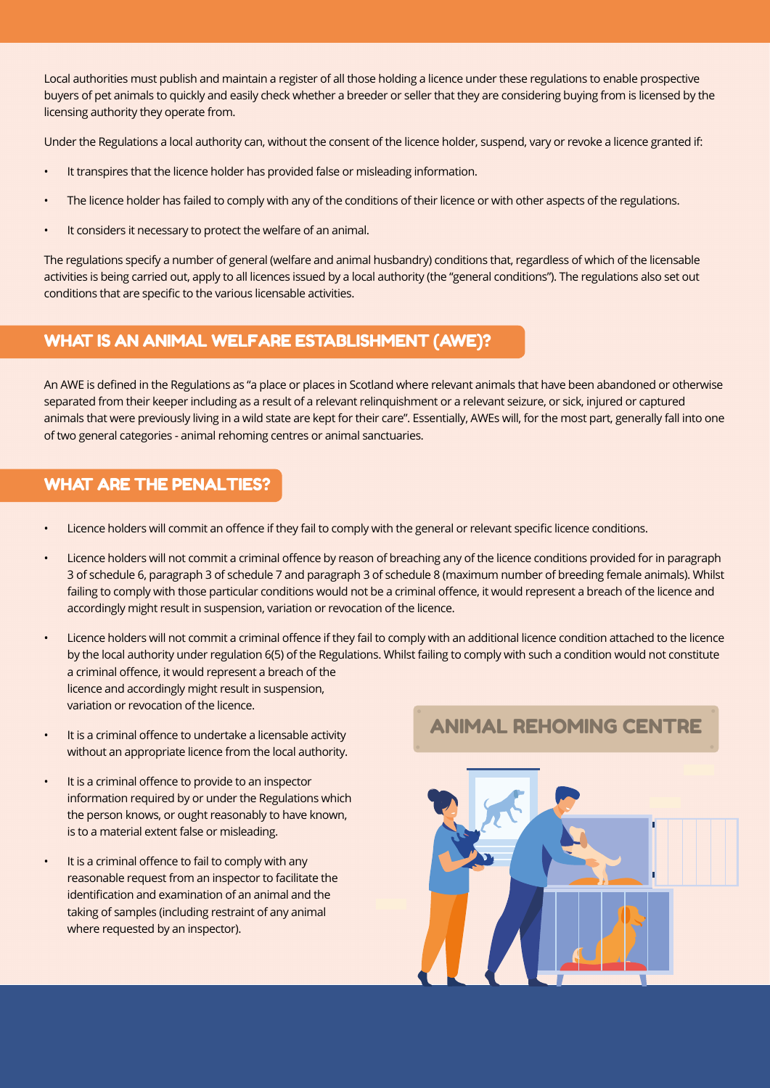Local authorities must publish and maintain a register of all those holding a licence under these regulations to enable prospective buyers of pet animals to quickly and easily check whether a breeder or seller that they are considering buying from is licensed by the licensing authority they operate from.

Under the Regulations a local authority can, without the consent of the licence holder, suspend, vary or revoke a licence granted if:

- It transpires that the licence holder has provided false or misleading information.
- The licence holder has failed to comply with any of the conditions of their licence or with other aspects of the regulations.
- It considers it necessary to protect the welfare of an animal.

The regulations specify a number of general (welfare and animal husbandry) conditions that, regardless of which of the licensable activities is being carried out, apply to all licences issued by a local authority (the "general conditions"). The regulations also set out conditions that are specific to the various licensable activities.

# WHAT IS AN ANIMAL WELFARE ESTABLISHMENT (AWE)?

An AWE is defined in the Regulations as "a place or places in Scotland where relevant animals that have been abandoned or otherwise separated from their keeper including as a result of a relevant relinquishment or a relevant seizure, or sick, injured or captured animals that were previously living in a wild state are kept for their care". Essentially, AWEs will, for the most part, generally fall into one of two general categories - animal rehoming centres or animal sanctuaries.

### WHAT ARE THE PENALTIES?

- Licence holders will commit an offence if they fail to comply with the general or relevant specific licence conditions.
- Licence holders will not commit a criminal offence by reason of breaching any of the licence conditions provided for in paragraph 3 of schedule 6, paragraph 3 of schedule 7 and paragraph 3 of schedule 8 (maximum number of breeding female animals). Whilst failing to comply with those particular conditions would not be a criminal offence, it would represent a breach of the licence and accordingly might result in suspension, variation or revocation of the licence.
- Licence holders will not commit a criminal offence if they fail to comply with an additional licence condition attached to the licence by the local authority under regulation 6(5) of the Regulations. Whilst failing to comply with such a condition would not constitute a criminal offence, it would represent a breach of the licence and accordingly might result in suspension, variation or revocation of the licence.
- It is a criminal offence to undertake a licensable activity without an appropriate licence from the local authority.
- It is a criminal offence to provide to an inspector information required by or under the Regulations which the person knows, or ought reasonably to have known, is to a material extent false or misleading.
- It is a criminal offence to fail to comply with any reasonable request from an inspector to facilitate the identification and examination of an animal and the taking of samples (including restraint of any animal where requested by an inspector).

# ANIMAL REHOMING CENTRE